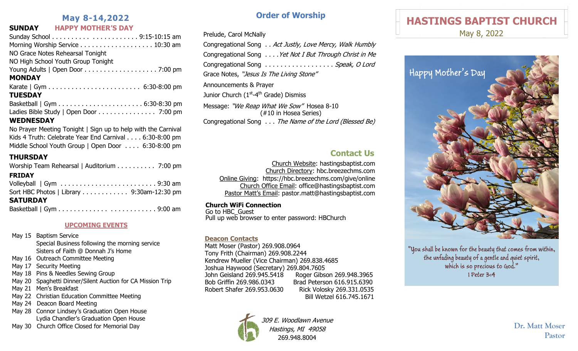# **May 8-14,2022**

## **SUNDAY HAPPY MOTHER'S DAY**

No Prayer Meeting Tonight | Sign up to help with the Carnival Kids 4 Truth: Celebrate Year End Carnival . . . . 6:30-8:00 pm Middle School Youth Group | Open Door . . . . 6:30-8:00 pm

# **THURSDAY**

| Worship Team Rehearsal   Auditorium 7:00 pm |  |
|---------------------------------------------|--|
| <b>FRIDAY</b>                               |  |
|                                             |  |
| Sort HBC Photos   Library 9:30am-12:30 pm   |  |
| <b>SATURDAY</b>                             |  |
| Basketball   Gym9:00 am                     |  |

### **UPCOMING EVENTS**

- May 15 Baptism Service Special Business following the morning service Sisters of Faith @ Donnah J's Home
- May 16 Outreach Committee Meeting
- May 17 Security Meeting
- May 18 Pins & Needles Sewing Group
- May 20 Spaghetti Dinner/Silent Auction for CA Mission Trip
- May 21 Men's Breakfast
- May 22 Christian Education Committee Meeting
- May 24 Deacon Board Meeting
- May 28 Connor Lindsey's Graduation Open House Lydia Chandler's Graduation Open House
- May 30 Church Office Closed for Memorial Day

# **Order of Worship**

Prelude, Carol McNally

Congregational Song . . Act Justly, Love Mercy, Walk Humbly Congregational Song . . . . Yet Not I But Through Christ in Me Congregational Song . . . . . . . . . . . . . . . . . Speak, O Lord Grace Notes, "Jesus Is The Living Stone" Announcements & Prayer Junior Church (1<sup>st</sup>-4<sup>th</sup> Grade) Dismiss Message: "We Reap What We Sow" Hosea 8-10 (#10 in Hosea Series) Congregational Song . . . The Name of the Lord (Blessed Be)

# **Contact Us**

Church Website: hastingsbaptist.com Church Directory: hbc.breezechms.com Online Giving: https://hbc.breezechms.com/give/online Church Office Email: office@hastingsbaptist.com Pastor Matt's Email: pastor.matt@hastingsbaptist.com

**Church WiFi Connection** 

Go to HBC\_Guest Pull up we $\overline{b}$  browser to enter password: HBChurch

### **Deacon Contacts**

Matt Moser (Pastor) 269.908.0964 Tony Frith (Chairman) 269.908.2244 Kendrew Mueller (Vice Chairman) 269.838.4685 Joshua Haywood (Secretary) 269.804.7605 John Geisland 269.945.5418 Roger Gibson 269.948.3965 Bob Griffin 269.986.0343 Brad Peterson 616.915.6390 Robert Shafer 269.953.0630 Rick Volosky 269.331.0535 Bill Wetzel 616.745.1671



309 E. Woodlawn Avenue Hastings, MI 49058 269.948.8004

# **HASTINGS BAPTIST CHURCH**

May 8, 2022



"You shall be known for the beauty that comes from within, the unfading beauty of a gentle and quiet spirit, which is so precious to God." 1 Peter 3:4

> **Dr. Matt Moser Pastor**